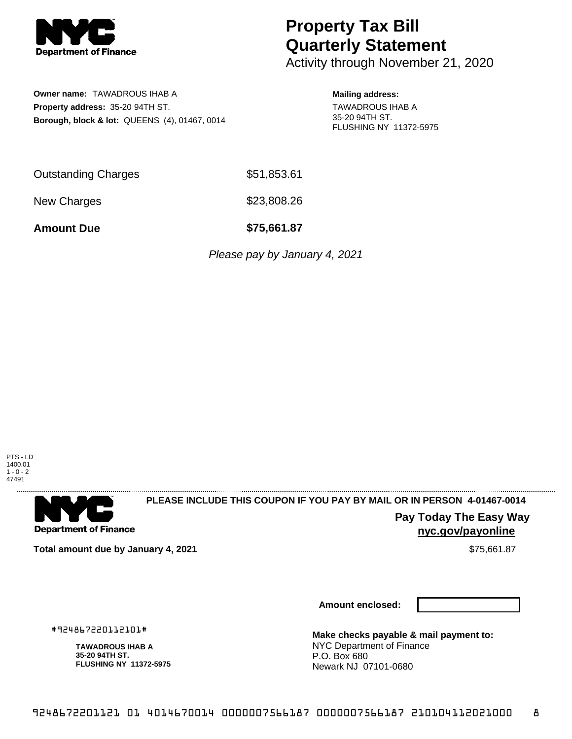

# **Property Tax Bill Quarterly Statement**

Activity through November 21, 2020

**Owner name:** TAWADROUS IHAB A **Property address:** 35-20 94TH ST. **Borough, block & lot:** QUEENS (4), 01467, 0014

### **Mailing address:**

TAWADROUS IHAB A 35-20 94TH ST. FLUSHING NY 11372-5975

Outstanding Charges \$51,853.61

New Charges \$23,808.26

**Amount Due \$75,661.87**

Please pay by January 4, 2021

PTS - LD 1400.01  $1 - 0 - 2$ 47491



## **PLEASE INCLUDE THIS COUPON IF YOU PAY BY MAIL OR IN PERSON 4-01467-0014**

**Pay Today The Easy Way nyc.gov/payonline**

**Total amount due by January 4, 2021 S75,661.87** \$75,661.87

#924867220112101#

**TAWADROUS IHAB A 35-20 94TH ST.**

**FLUSHING NY 11372-5975**

**Amount enclosed:**

**Make checks payable & mail payment to:** NYC Department of Finance P.O. Box 680 Newark NJ 07101-0680

9248672201121 01 4014670014 0000007566187 0000007566187 210104112021000 8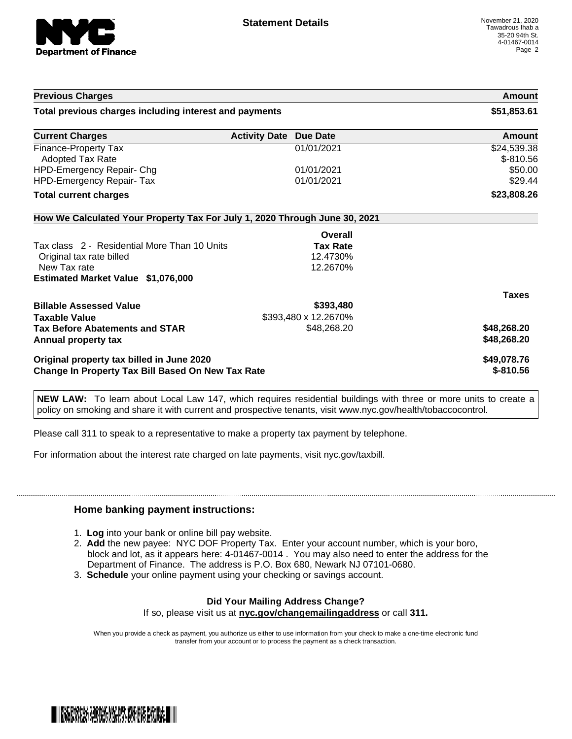

| <b>Previous Charges</b>                                                    |                                         | Amount                    |
|----------------------------------------------------------------------------|-----------------------------------------|---------------------------|
| Total previous charges including interest and payments                     |                                         | \$51,853.61               |
| <b>Current Charges</b>                                                     | <b>Activity Date</b><br><b>Due Date</b> | Amount                    |
| <b>Finance-Property Tax</b><br><b>Adopted Tax Rate</b>                     | 01/01/2021                              | \$24,539.38<br>$$-810.56$ |
| HPD-Emergency Repair- Chg                                                  | 01/01/2021                              | \$50.00                   |
| <b>HPD-Emergency Repair- Tax</b>                                           | 01/01/2021                              | \$29.44                   |
| <b>Total current charges</b>                                               |                                         | \$23,808.26               |
| How We Calculated Your Property Tax For July 1, 2020 Through June 30, 2021 |                                         |                           |
|                                                                            | Overall                                 |                           |
| Tax class 2 - Residential More Than 10 Units                               | <b>Tax Rate</b>                         |                           |
| Original tax rate billed                                                   | 12.4730%                                |                           |
| New Tax rate                                                               | 12.2670%                                |                           |
| Estimated Market Value \$1,076,000                                         |                                         |                           |
|                                                                            |                                         | <b>Taxes</b>              |
| <b>Billable Assessed Value</b>                                             | \$393,480                               |                           |
| <b>Taxable Value</b>                                                       | \$393,480 x 12.2670%                    |                           |
| <b>Tax Before Abatements and STAR</b>                                      | \$48,268.20                             | \$48,268.20               |
| Annual property tax                                                        |                                         | \$48,268.20               |
| Original property tax billed in June 2020                                  |                                         | \$49,078.76               |
| Change In Property Tax Bill Based On New Tax Rate                          |                                         | $$-810.56$                |

**NEW LAW:** To learn about Local Law 147, which requires residential buildings with three or more units to create a policy on smoking and share it with current and prospective tenants, visit www.nyc.gov/health/tobaccocontrol.

Please call 311 to speak to a representative to make a property tax payment by telephone.

For information about the interest rate charged on late payments, visit nyc.gov/taxbill.

#### **Home banking payment instructions:**

- 1. **Log** into your bank or online bill pay website.
- 2. **Add** the new payee: NYC DOF Property Tax. Enter your account number, which is your boro, block and lot, as it appears here: 4-01467-0014 . You may also need to enter the address for the Department of Finance. The address is P.O. Box 680, Newark NJ 07101-0680.
- 3. **Schedule** your online payment using your checking or savings account.

### **Did Your Mailing Address Change?**

If so, please visit us at **nyc.gov/changemailingaddress** or call **311.**

When you provide a check as payment, you authorize us either to use information from your check to make a one-time electronic fund transfer from your account or to process the payment as a check transaction.